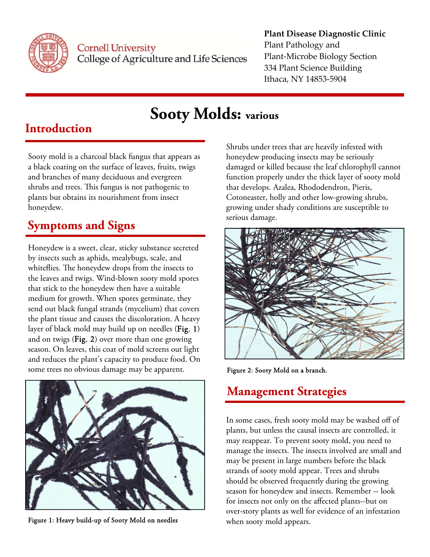

**Cornell University** College of Agriculture and Life Sciences

#### **Plant Disease Diagnostic Clinic**

Plant Pathology and Plant‐Microbe Biology Section 334 Plant Science Building Ithaca, NY 14853‐5904

# **Sooty Molds: various**

### **Introduction**

Sooty mold is a charcoal black fungus that appears as a black coating on the surface of leaves, fruits, twigs and branches of many deciduous and evergreen shrubs and trees. This fungus is not pathogenic to plants but obtains its nourishment from insect honeydew.

### **Symptoms and Signs**

Honeydew is a sweet, clear, sticky substance secreted by insects such as aphids, mealybugs, scale, and whiteflies. The honeydew drops from the insects to the leaves and twigs. Wind-blown sooty mold spores that stick to the honeydew then have a suitable medium for growth. When spores germinate, they send out black fungal strands (mycelium) that covers the plant tissue and causes the discoloration. A heavy layer of black mold may build up on needles (Fig. 1) and on twigs (Fig. 2) over more than one growing season. On leaves, this coat of mold screens out light and reduces the plant's capacity to produce food. On some trees no obvious damage may be apparent.



Figure 1: Heavy build-up of Sooty Mold on needles

Shrubs under trees that are heavily infested with honeydew producing insects may be seriously damaged or killed because the leaf chlorophyll cannot function properly under the thick layer of sooty mold that develops. Azalea, Rhododendron, Pieris, Cotoneaster, holly and other low-growing shrubs, growing under shady conditions are susceptible to serious damage.



Figure 2: Sooty Mold on a branch.

## **Management Strategies**

In some cases, fresh sooty mold may be washed off of plants, but unless the causal insects are controlled, it may reappear. To prevent sooty mold, you need to manage the insects. The insects involved are small and may be present in large numbers before the black strands of sooty mold appear. Trees and shrubs should be observed frequently during the growing season for honeydew and insects. Remember -- look for insects not only on the affected plants--but on over-story plants as well for evidence of an infestation when sooty mold appears.